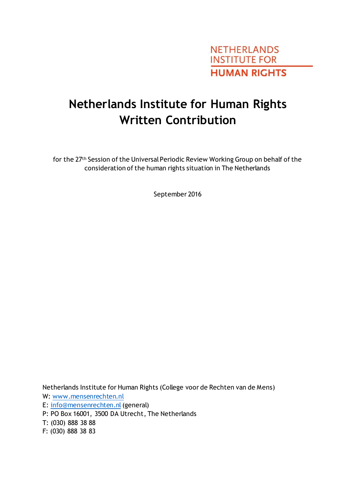

# **Netherlands Institute for Human Rights Written Contribution**

for the 27th Session of the Universal Periodic Review Working Group on behalf of the consideration of the human rights situation in The Netherlands

September 2016

Netherlands Institute for Human Rights (College voor de Rechten van de Mens) W[: www.mensenrechten.nl](http://www.mensenrechten.nl/) E: [info@mensenrechten.nl](mailto:info@mensenrechten.nl) (general) P: PO Box 16001, 3500 DA Utrecht, The Netherlands T: (030) 888 38 88

F: (030) 888 38 83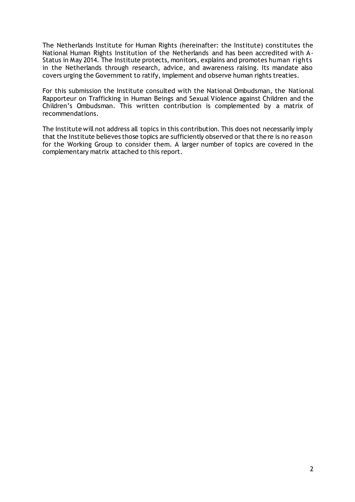The Netherlands Institute for Human Rights (hereinafter: the Institute) constitutes the National Human Rights Institution of the Netherlands and has been accredited with A-Status in May 2014. The Institute protects, monitors, explains and promotes human rights in the Netherlands through research, advice, and awareness raising. Its mandate also covers urging the Government to ratify, implement and observe human rights treaties.

For this submission the Institute consulted with the National Ombudsman, the National Rapporteur on Trafficking in Human Beings and Sexual Violence against Children and the Children's Ombudsman. This written contribution is complemented by a matrix of recommendations.

The Institute will not address all topics in this contribution. This does not necessarily imply that the Institute believes those topics are sufficiently observed or that there is no reason for the Working Group to consider them. A larger number of topics are covered in the complementary matrix attached to this report.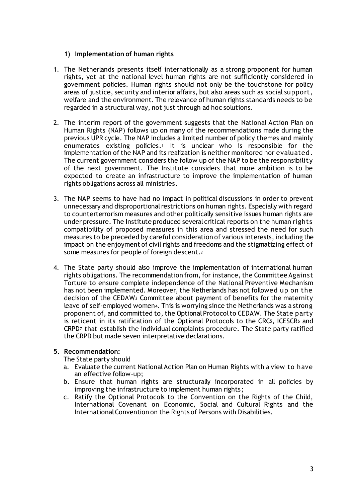## **1) Implementation of human rights**

- 1. The Netherlands presents itself internationally as a strong proponent for human rights, yet at the national level human rights are not sufficiently considered in government policies. Human rights should not only be the touchstone for policy areas of justice, security and interior affairs, but also areas such as social support, welfare and the environment. The relevance of human rights standards needs to be regarded in a structural way, not just through ad hoc solutions.
- 2. The interim report of the government suggests that the National Action Plan on Human Rights (NAP) follows up on many of the recommendations made during the previous UPR cycle. The NAP includes a limited number of policy themes and mainly enumerates existing policies.<sup>1</sup> It is unclear who is responsible for the implementation of the NAP and its realization is neither monitored nor evaluated . The current government considers the follow up of the NAP to be the responsibility of the next government. The Institute considers that more ambition is to be expected to create an infrastructure to improve the implementation of human rights obligations across all ministries.
- 3. The NAP seems to have had no impact in political discussions in order to prevent unnecessary and disproportional restrictions on human rights. Especially with regard to counterterrorism measures and other politically sensitive issues human rights are under pressure. The Institute produced several critical reports on the human rights compatibility of proposed measures in this area and stressed the need for such measures to be preceded by careful consideration of various interests, including the impact on the enjoyment of civil rights and freedoms and the stigmatizing effect of some measures for people of foreign descent.<sup>2</sup>
- 4. The State party should also improve the implementation of international human rights obligations. The recommendation from, for instance, the Committee Against Torture to ensure complete independence of the National Preventive Mechanism has not been implemented. Moreover, the Netherlands has not followed up on the decision of the CEDAW<sup>3</sup> Committee about payment of benefits for the maternity leave of self-employed women4. This is worrying since the Netherlands was a strong proponent of, and committed to, the Optional Protocol to CEDAW. The State party is reticent in its ratification of the Optional Protocols to the CRC5, ICESCR<sup>6</sup> and CRPD<sup>7</sup> that establish the individual complaints procedure. The State party ratified the CRPD but made seven interpretative declarations.

## **5. Recommendation:**

The State party should

- a. Evaluate the current National Action Plan on Human Rights with a view to have an effective follow-up;
- b. Ensure that human rights are structurally incorporated in all policies by improving the infrastructure to implement human rights;
- c. Ratify the Optional Protocols to the Convention on the Rights of the Child, International Covenant on Economic, Social and Cultural Rights and the International Convention on the Rights of Persons with Disabilities.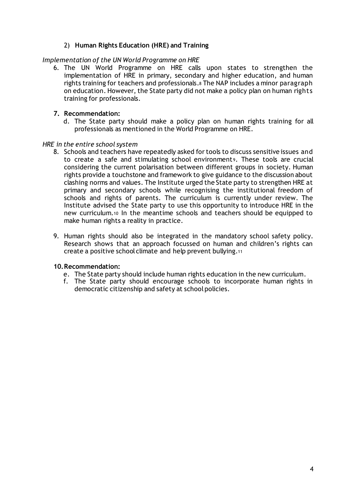# 2) **Human Rights Education (HRE) and Training**

## *Implementation of the UN World Programme on HRE*

6. The UN World Programme on HRE calls upon states to strengthen the implementation of HRE in primary, secondary and higher education, and human rights training for teachers and professionals.<sup>8</sup> The NAP includes a minor paragraph on education. However, the State party did not make a policy plan on human rights training for professionals.

## **7. Recommendation:**

d. The State party should make a policy plan on human rights training for all professionals as mentioned in the World Programme on HRE.

#### *HRE in the entire school system*

- 8. Schools and teachers have repeatedly asked for tools to discuss sensitive issues and to create a safe and stimulating school environment<sup>9</sup>. These tools are crucial considering the current polarisation between different groups in society. Human rights provide a touchstone and framework to give guidance to the discussion about clashing norms and values. The Institute urged the State party to strengthen HRE at primary and secondary schools while recognising the institutional freedom of schools and rights of parents. The curriculum is currently under review. The Institute advised the State party to use this opportunity to introduce HRE in the new curriculum.<sup>10</sup> In the meantime schools and teachers should be equipped to make human rights a reality in practice.
- 9. Human rights should also be integrated in the mandatory school safety policy. Research shows that an approach focussed on human and children's rights can create a positive school climate and help prevent bullying.<sup>11</sup>

## **10.Recommendation:**

- e. The State party should include human rights education in the new curriculum.
- f. The State party should encourage schools to incorporate human rights in democratic citizenship and safety at school policies.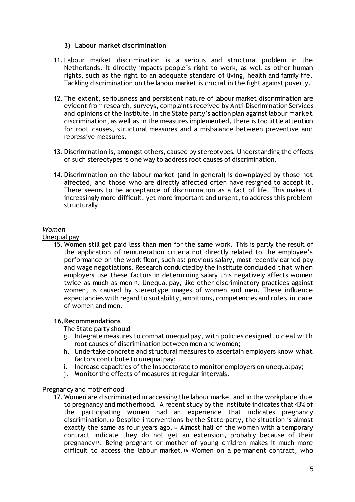## **3) Labour market discrimination**

- 11. Labour market discrimination is a serious and structural problem in the Netherlands. It directly impacts people's right to work, as well as other human rights, such as the right to an adequate standard of living, health and family life. Tackling discrimination on the labour market is crucial in the fight against poverty.
- 12. The extent, seriousness and persistent nature of labour market discrimination are evident from research, surveys, complaints received by Anti-Discrimination Services and opinions of the Institute. In the State party's action plan against labour market discrimination, as well as in the measures implemented, there is too little attention for root causes, structural measures and a misbalance between preventive and repressive measures.
- 13. Discrimination is, amongst others, caused by stereotypes. Understanding the effects of such stereotypes is one way to address root causes of discrimination.
- 14. Discrimination on the labour market (and in general) is downplayed by those not affected, and those who are directly affected often have resigned to accept it. There seems to be acceptance of discrimination as a fact of life. This makes it increasingly more difficult, yet more important and urgent, to address this problem structurally.

## *Women*

Unequal pay

15. Women still get paid less than men for the same work. This is partly the result of the application of remuneration criteria not directly related to the employee's performance on the work floor, such as: previous salary, most recently earned pay and wage negotiations. Research conducted by the Institute concluded t hat when employers use these factors in determining salary this negatively affects women twice as much as men12. Unequal pay, like other discriminatory practices against women, is caused by stereotype images of women and men. These influence expectancies with regard to suitability, ambitions, competencies and roles in care of women and men.

## **16.Recommendations**

The State party should

- g. Integrate measures to combat unequal pay, with policies designed to deal with root causes of discrimination between men and women;
- h. Undertake concrete and structural measures to ascertain employers know what factors contribute to unequal pay;
- i. Increase capacities of the Inspectorate to monitor employers on unequal pay;
- j. Monitor the effects of measures at regular intervals.

## Pregnancy and motherhood

17. Women are discriminated in accessing the labour market and in the workplace due to pregnancy and motherhood. A recent study by the Institute indicates that 43% of the participating women had an experience that indicates pregnancy discrimination.<sup>13</sup> Despite interventions by the State party, the situation is almost exactly the same as four years ago.<sup>14</sup> Almost half of the women with a temporary contract indicate they do not get an extension, probably because of their pregnancy15. Being pregnant or mother of young children makes it much more difficult to access the labour market.<sup>16</sup> Women on a permanent contract, who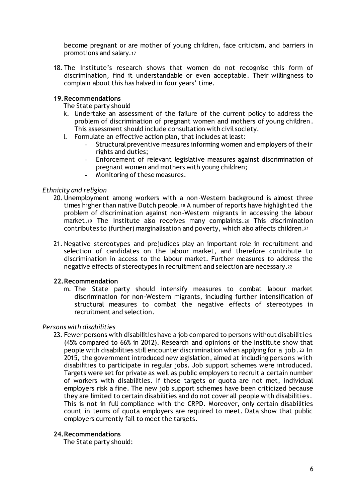become pregnant or are mother of young children, face criticism, and barriers in promotions and salary.<sup>17</sup>

18. The Institute's research shows that women do not recognise this form of discrimination, find it understandable or even acceptable. Their willingness to complain about this has halved in four years' time.

## **19.Recommendations**

The State party should

- k. Undertake an assessment of the failure of the current policy to address the problem of discrimination of pregnant women and mothers of young children. This assessment should include consultation with civil society.
- l. Formulate an effective action plan, that includes at least:
	- Structural preventive measures informing women and employers of their rights and duties;
	- Enforcement of relevant legislative measures against discrimination of pregnant women and mothers with young children;
	- Monitoring of these measures.

#### *Ethnicity and religion*

- 20. Unemployment among workers with a non-Western background is almost three times higher than native Dutch people.<sup>18</sup> A number of reports have highlighted the problem of discrimination against non-Western migrants in accessing the labour market.<sup>19</sup> The Institute also receives many complaints.<sup>20</sup> This discrimination contributes to (further) marginalisation and poverty, which also affects children.<sup>21</sup>
- 21. Negative stereotypes and prejudices play an important role in recruitment and selection of candidates on the labour market, and therefore contribute to discrimination in access to the labour market. Further measures to address the negative effects of stereotypes in recruitment and selection are necessary.<sup>22</sup>

## **22.Recommendation**

m. The State party should intensify measures to combat labour market discrimination for non-Western migrants, including further intensification of structural measures to combat the negative effects of stereotypes in recruitment and selection.

#### *Persons with disabilities*

23. Fewer persons with disabilities have a job compared to persons without disabilities (45% compared to 66% in 2012). Research and opinions of the Institute show that people with disabilities still encounter discrimination when applying for a job. <sup>23</sup> In 2015, the government introduced new legislation, aimed at including persons with disabilities to participate in regular jobs. Job support schemes were introduced. Targets were set for private as well as public employers to recruit a certain number of workers with disabilities. If these targets or quota are not met, individual employers risk a fine. The new job support schemes have been criticized because they are limited to certain disabilities and do not cover all people with disabilities. This is not in full compliance with the CRPD. Moreover, only certain disabilities count in terms of quota employers are required to meet. Data show that public employers currently fail to meet the targets.

#### **24.Recommendations**

The State party should: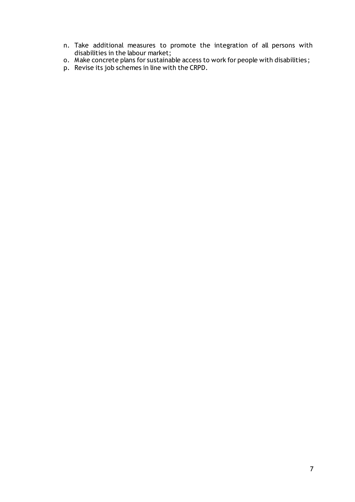- n. Take additional measures to promote the integration of all persons with disabilities in the labour market;
- o. Make concrete plans for sustainable access to work for people with disabilities ;
- p. Revise its job schemes in line with the CRPD.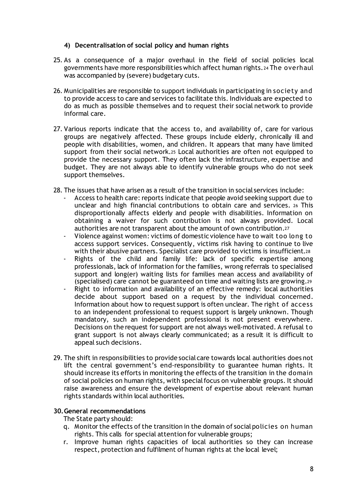# **4) Decentralisation of social policy and human rights**

- 25. As a consequence of a major overhaul in the field of social policies local governments have more responsibilities which affect human rights.<sup>24</sup> The overhaul was accompanied by (severe) budgetary cuts.
- 26. Municipalities are responsible to support individuals in participating in society and to provide access to care and services to facilitate this. Individuals are expected to do as much as possible themselves and to request their social network to provide informal care.
- 27. Various reports indicate that the access to, and availability of, care for various groups are negatively affected. These groups include elderly, chronically ill and people with disabilities, women, and children. It appears that many have limited support from their social network.<sup>25</sup> Local authorities are often not equipped to provide the necessary support. They often lack the infrastructure, expertise and budget. They are not always able to identify vulnerable groups who do not seek support themselves.
- 28. The issues that have arisen as a result of the transition in social services include:
	- Access to health care: reports indicate that people avoid seeking support due to unclear and high financial contributions to obtain care and services. <sup>26</sup> This disproportionally affects elderly and people with disabilities. Information on obtaining a waiver for such contribution is not always provided. Local authorities are not transparent about the amount of own contribution.<sup>27</sup>
	- Violence against women: victims of domestic violence have to wait too long to access support services. Consequently, victims risk having to continue to live with their abusive partners. Specialist care provided to victims is insufficient.<sup>28</sup>
	- Rights of the child and family life: lack of specific expertise among professionals, lack of information for the families, wrong referrals to specialised support and long(er) waiting lists for families mean access and availability of (specialised) care cannot be guaranteed on time and waiting lists are growing.<sup>29</sup>
	- Right to information and availability of an effective remedy: local authorities decide about support based on a request by the individual concerned. Information about how to request support is often unclear. The right of access to an independent professional to request support is largely unknown. Though mandatory, such an independent professional is not present everywhere. Decisions on the request for support are not always well-motivated. A refusal to grant support is not always clearly communicated; as a result it is difficult to appeal such decisions.
- 29. The shift in responsibilities to provide social care towards local authorities does not lift the central government's end-responsibility to guarantee human rights. It should increase its efforts in monitoring the effects of the transition in the domain of social policies on human rights, with special focus on vulnerable groups. It should raise awareness and ensure the development of expertise about relevant human rights standards within local authorities.

## **30.General recommendations**

The State party should:

- q. Monitor the effects of the transition in the domain of social policies on human rights. This calls for special attention for vulnerable groups;
- r. Improve human rights capacities of local authorities so they can increase respect, protection and fulfilment of human rights at the local level;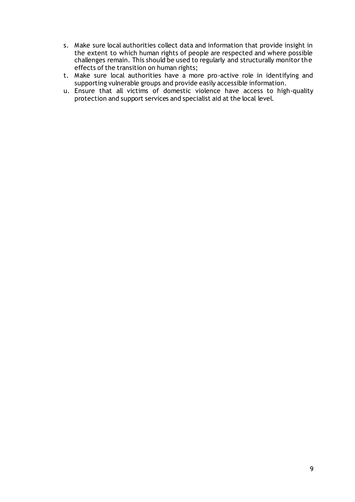- s. Make sure local authorities collect data and information that provide insight in the extent to which human rights of people are respected and where possible challenges remain. This should be used to regularly and structurally monitor the effects of the transition on human rights;
- t. Make sure local authorities have a more pro-active role in identifying and supporting vulnerable groups and provide easily accessible information.
- u. Ensure that all victims of domestic violence have access to high-quality protection and support services and specialist aid at the local level.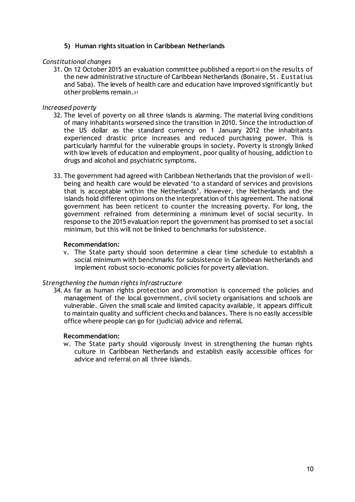# **5) Human rights situation in Caribbean Netherlands**

## *Constitutional changes*

31. On 12 October 2015 an evaluation committee published a report30 on the results of the new administrative structure of Caribbean Netherlands (Bonaire, St. Eustatius and Saba). The levels of health care and education have improved significantly but other problems remain.<sup>31</sup>

## *Increased poverty*

- 32. The level of poverty on all three islands is alarming. The material living conditions of many inhabitants worsened since the transition in 2010. Since the introduction of the US dollar as the standard currency on 1 January 2012 the inhabitants experienced drastic price increases and reduced purchasing power. This is particularly harmful for the vulnerable groups in society. Poverty is strongly linked with low levels of education and employment, poor quality of housing, addiction to drugs and alcohol and psychiatric symptoms.
- 33. The government had agreed with Caribbean Netherlands that the provision of wellbeing and health care would be elevated 'to a standard of services and provisions that is acceptable within the Netherlands'. However, the Netherlands and the islands hold different opinions on the interpretation of this agreement. The national government has been reticent to counter the increasing poverty. For long, the government refrained from determining a minimum level of social security. In response to the 2015 evaluation report the government has promised to set a social minimum, but this will not be linked to benchmarks for subsistence.

## **Recommendation:**

v. The State party should soon determine a clear time schedule to establish a social minimum with benchmarks for subsistence in Caribbean Netherlands and implement robust socio-economic policies for poverty alleviation.

## *Strengthening the human rights infrastructure*

34. As far as human rights protection and promotion is concerned the policies and management of the local government, civil society organisations and schools are vulnerable. Given the small scale and limited capacity available, it appears difficult to maintain quality and sufficient checks and balances. There is no easily accessible office where people can go for (judicial) advice and referral.

## **Recommendation:**

w. The State party should vigorously invest in strengthening the human rights culture in Caribbean Netherlands and establish easily accessible offices for advice and referral on all three islands.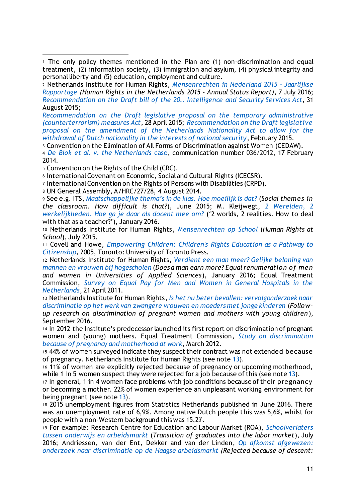*[Recommendation on the Draft legislative proposal on the temporary administrative](https://mensenrechten.nl/publicaties/detail/36899)  [\(counterterrorism\) measures Act](https://mensenrechten.nl/publicaties/detail/36899)*, 28 April 2015; *[Recommendation on the Draft legislative](https://mensenrechten.nl/publicaties/detail/36900)  [proposal on the amendment of the Netherlands Nationality Act to allow for the](https://mensenrechten.nl/publicaties/detail/36900)  [withdrawal of Dutch nationality in the interests of national security](https://mensenrechten.nl/publicaties/detail/36900)*, February 2015.

<sup>3</sup> Convention on the Elimination of All Forms of Discrimination against Women (CEDAW).

<sup>4</sup> *[De Blok et al. v. the Netherlands](http://tbinternet.ohchr.org/_layouts/treatybodyexternal/Download.aspx?symbolno=CEDAW%2fC%2f57%2fD%2f36%2f2012&Lang=en)* case, communication number 036/2012, 17 February 2014.

<sup>5</sup> Convention on the Rights of the Child (CRC).

-

<sup>6</sup> International Covenant on Economic, Social and Cultural Rights (ICECSR).

<sup>7</sup> International Convention on the Rights of Persons with Disabilities (CRPD).

<sup>8</sup> UN General Assembly, A/HRC/27/28, 4 August 2014.

<sup>9</sup> See e.g. ITS, *[Maatschappelijke thema's in de klas. Hoe moeilijk is dat?](https://www.rijksoverheid.nl/documenten/rapporten/2015/06/01/maatschappelijke-thema-s-in-de-klas-hoe-moeilijk-is-dat)* (*Social themes in the classroom. How difficult is that?*), June 2015; M. Kleijwegt, *[2 Werelden, 2](https://www.rijksoverheid.nl/documenten/rapporten/2016/02/01/twee-werelden-twee-werkelijkheden-een-verslag-over-gevoelige-maatschappelijke-kwesties-in-de-school)  [werkelijkheden. Hoe ga je daar als docent mee om?](https://www.rijksoverheid.nl/documenten/rapporten/2016/02/01/twee-werelden-twee-werkelijkheden-een-verslag-over-gevoelige-maatschappelijke-kwesties-in-de-school)* ('2 worlds, 2 realities. How to deal with that as a teacher?'), January 2016.

<sup>10</sup> Netherlands Institute for Human Rights, *[Mensenrechten op School](https://mensenrechten.nl/publicaties/detail/35843)* (*Human Rights at School*), July 2015.

<sup>11</sup> Covell and Howe, *[Empowering Children: Children's Rights Education as a Pathway to](http://www.utppublishing.com/Empowering-Children-Children-s-Rights-Education-as-a-Pathway-to-Citizenship.html)  [Citizenship](http://www.utppublishing.com/Empowering-Children-Children-s-Rights-Education-as-a-Pathway-to-Citizenship.html),* 2005, Toronto: University of Toronto Press.

<sup>12</sup> Netherlands Institute for Human Rights, *[Verdient een man meer? Gelijke beloning van](https://mensenrechten.nl/publicaties/detail/36318)  [mannen en vrouwen bij hogescholen](https://mensenrechten.nl/publicaties/detail/36318)* (*Does a man earn more? Equal renumeration of men and women in Universities of Applied Sciences*), January 2016; Equal Treatment Commission, *[Survey on Equal Pay for Men and Women in General Hospitals in the](http://www.mensenrechten.nl/publicaties/detail/35929)  [Netherlands](http://www.mensenrechten.nl/publicaties/detail/35929)*, 21 April 2011.

<sup>13</sup> Netherlands Institute for Human Rights, *[Is het nu beter bevallen: vervolgonderzoek naar](https://mensenrechten.nl/publicaties/detail/36883)  [discriminatie op het werk van zwangere vrouwen en moeders met jonge kinderen](https://mensenrechten.nl/publicaties/detail/36883)* (*Followup research on discrimination of pregnant women and mothers with young children*), September 2016.

<sup>14</sup> In 2012 the Institute's predecessor launched its first report on discrimination of pregnant women and (young) mothers. Equal Treatment Commission, *[Study on discrimination](http://www.mensenrechten.nl/publicaties/detail/35928)  [because of pregnancy and motherhood at work](http://www.mensenrechten.nl/publicaties/detail/35928)*, March 2012.

<sup>15</sup> 44% of women surveyed indicate they suspect their contract was not extended because of pregnancy. Netherlands Institute for Human Rights (see not[e 13](https://mensenrechten.nl/publicaties/detail/36883)).

<sup>16</sup> 11% of women are explicitly rejected because of pregnancy or upcoming motherhood, while 1 in 5 women suspect they were rejected for a job because of this (see note [13](https://mensenrechten.nl/publicaties/detail/36883)).

<sup>17</sup> In general, 1 in 4 women face problems with job conditions because of their pregnancy or becoming a mother. 22% of women experience an unpleasant working environment for being pregnant (see note [13\)](https://mensenrechten.nl/publicaties/detail/36883).

<sup>18</sup> 2015 unemployment figures from Statistics Netherlands published in June 2016. There was an unemployment rate of 6,9%. Among native Dutch people this was 5,6%, whilst for people with a non-Western background this was 15,2%.

<sup>19</sup> For example: Research Centre for Education and Labour Market (ROA), *[Schoolverlaters](http://roa.sbe.maastrichtuniversity.nl/?p=9241)  [tussen onderwijs en arbeidsmarkt](http://roa.sbe.maastrichtuniversity.nl/?p=9241)* (*Transition of graduates into the labor market*), July 2016; Andriessen, van der Ent, Dekker and van der Linden, *[Op afkomst afgewezen:](https://www.scp.nl/Publicaties/Alle_publicaties/Publicaties_2015/Op_afkomst_afgewezen)  [onderzoek naar discriminatie op de Haagse arbeidsmarkt](https://www.scp.nl/Publicaties/Alle_publicaties/Publicaties_2015/Op_afkomst_afgewezen) (Rejected because of descent:* 

<sup>1</sup> The only policy themes mentioned in the Plan are (1) non-discrimination and equal treatment, (2) information society, (3) immigration and asylum, (4) physical integrity and personal liberty and (5) education, employment and culture.

<sup>2</sup> Netherlands Institute for Human Rights, *[Mensenrechten in Nederland 2015](https://mensenrechten.nl/publicaties/detail/36713) – Jaarlijkse [Rapportage](https://mensenrechten.nl/publicaties/detail/36713) (Human Rights in the Netherlands 2015 – Annual Status Report)*, 7 July 2016; *[Recommendation on the Draft bill of the 20.. Intelligence and Security Services Act](https://mensenrechten.nl/publicaties/detail/36901)*, 31 August 2015;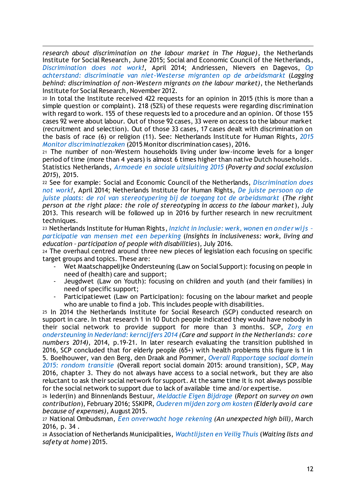*research about discrimination on the labour market in The Hague)*, the Netherlands Institute for Social Research, June 2015; Social and Economic Council of the Netherlands, *[Discrimination does not work](https://www.ser.nl/en/publications/publications/2014/discrimination.aspx)!,* April 2014; Andriessen, Nievers en Dagevos, *[Op](https://www.scp.nl/Publicaties/Alle_publicaties/Publicaties_2012/Op_achterstandhttps:/)  [achterstand: discriminatie van niet-Westerse migranten op de arbeidsmarkt](https://www.scp.nl/Publicaties/Alle_publicaties/Publicaties_2012/Op_achterstandhttps:/)* (*Lagging behind: discrimination of non-Western migrants on the labour market)*, the Netherlands Institute for Social Research, November 2012.

<sup>20</sup> In total the Institute received 422 requests for an opinion in 2015 (this is more than a simple question or complaint). 218 (52%) of these requests were regarding discrimination with regard to work. 155 of these requests led to a procedure and an opinion. Of those 155 cases 92 were about labour. Out of those 92 cases, 33 were on access to the labour market (recruitment and selection). Out of those 33 cases, 17 cases dealt with discrimination on the basis of race (6) or religion (11). See: Netherlands Institute for Human Rights, *[2015](https://mensenrechten.nl/sites/default/files/Monitor%20discriminatiezaken%202015.DEF_.pdf)  [Monitor discriminatiezaken](https://mensenrechten.nl/sites/default/files/Monitor%20discriminatiezaken%202015.DEF_.pdf)* (2015 Monitor discrimination cases), 2016.

<sup>21</sup> The number of non-Western households living under low-income levels for a longer period of time (more than 4 years) is almost 6 times higher than native Dutch households. Statistics Netherlands, *[Armoede en sociale uitsluiting 2015](https://www.cbs.nl/nl-nl/publicatie/2015/51/armoede-en-sociale-uitsluiting-2015)* (*Poverty and social exclusion 2015*), 2015.

<sup>22</sup> See for example: Social and Economic Council of the Netherlands, *[Discrimination does](https://www.ser.nl/en/publications/publications/2014/discrimination.aspx)  [not work!](https://www.ser.nl/en/publications/publications/2014/discrimination.aspx),* April 2014; Netherlands Institute for Human Rights, *[De juiste persoon op](https://mensenrechten.nl/publicaties/detail/18402) de [juiste plaats: de rol van stereotypering bij de toegang tot de arbeidsmarkt](https://mensenrechten.nl/publicaties/detail/18402)* (*The right person at the right place: the role of stereotyping in access to the labour market* ), July 2013. This research will be followed up in 2016 by further research in new recruitment techniques.

<sup>23</sup> Netherlands Institute for Human Rights, *[Inzicht in Inclusie: werk, wonen en onderwijs](https://mensenrechten.nl/publicaties/detail/36782) – [participatie van mensen met een beperking](https://mensenrechten.nl/publicaties/detail/36782)* (*Insights in inclusiveness: work, living and education – participation of people with disabilities*), July 2016.

<sup>24</sup> The overhaul centred around three new pieces of legislation each focusing on specific target groups and topics. These are:

- Wet Maatschappelijke Ondersteuning (Law on Social Support): focusing on people in need of (health) care and support;
- Jeugdwet (Law on Youth): focusing on children and youth (and their families) in need of specific support;
- Participatiewet (Law on Participation): focusing on the labour market and people who are unable to find a job. This includes people with disabilities.

<sup>25</sup> In 2014 the Netherlands Institute for Social Research (SCP) conducted research on support in care. In that research 1 in 10 Dutch people indicated they would have nobody in their social network to provide support for more than 3 months. SCP, *[Zorg en](http://www.scp.nl/Publicaties/Alle_publicaties/Publicaties_2016/Zorg_en_ondersteuning_in_Nederland_kerncijfers_2014)  [ondersteuning in Nederland: kerncijfers 2014](http://www.scp.nl/Publicaties/Alle_publicaties/Publicaties_2016/Zorg_en_ondersteuning_in_Nederland_kerncijfers_2014) (Care and support in the Netherlands: core numbers 2014)*, 2014, p.19-21. In later research evaluating the transition published in 2016, SCP concluded that for elderly people (65+) with health problems this figure is 1 in 5. Boelhouwer, van den Berg, den Draak and Pommer, *[Overall Rapportage sociaal domein](https://www.scp.nl/Publicaties/Alle_publicaties/Publicaties_2016/Samenvatting_Overall_rapportage_sociaal_domein_2015)  [2015: rondom transitie](https://www.scp.nl/Publicaties/Alle_publicaties/Publicaties_2016/Samenvatting_Overall_rapportage_sociaal_domein_2015)* (Overall report social domain 2015: around transition)*,* SCP*,* May 2016, chapter 3. They do not always have access to a social network, but they are also reluctant to ask their social network for support. At the same time it is not always possible for the social network to support due to lack of available time and/or expertise.

<sup>26</sup> Ieder(in) and Binnenlands Bestuur, *[Meldactie Eigen Bijdrage](https://iederin.nl/nieuws/17759/kwart-zorgvragers-ziet-af-van-zorg-door-hoge-kosten/)* (*Report on survey on own contribution*), February 2016; SSKIPR, *[Ouderen mijden zorg om kosten](http://www.skipr.nl/actueel/id23480-ouderen-mijden-zorg-om-kosten.html) (Elderly avoid care because of expenses),* August 2015.

<sup>27</sup> National Ombudsman, *[Een onverwacht hoge rekening](https://www.nationaleombudsman.nl/onderzoeken/2016-025-onderzoek-naar-informatieverstrekking-over-eigen-bijdrage-wmo) (An unexpected high bill),* March 2016, p. 34 .

<sup>28</sup> Association of Netherlands Municipalities, *[Wachtlijsten en Veilig Thuis](https://vng.nl/files/vng/publicaties/2015/20150731_wachtlijsten-veilig-thuis_20150723.pdf)* (*Waiting lists and safety at home*) 2015.